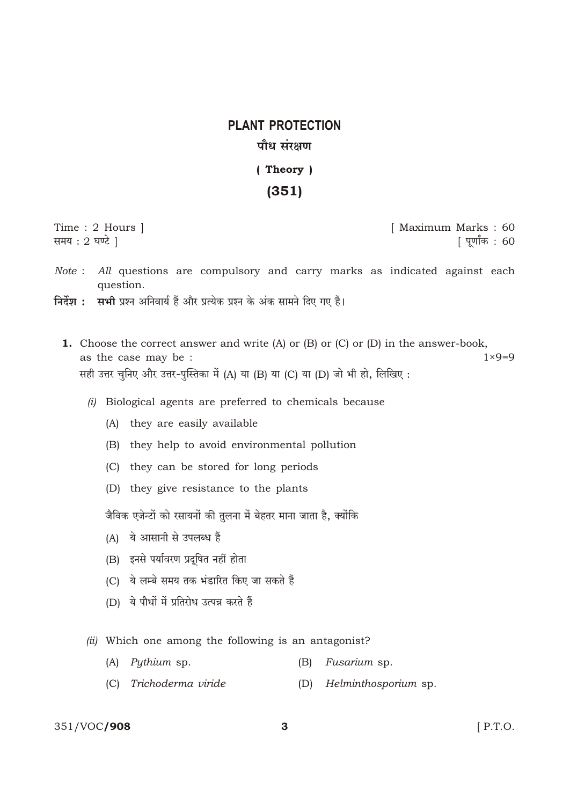# **PLANT PROTECTION** पौध संरक्षण

(Theory)

### $(351)$

Time: 2 Hours | समय: 2 घण्टे ।

[ Maximum Marks: 60 | पूर्णांक : 60

- Note : All questions are compulsory and carry marks as indicated against each question.
- निर्देश : सभी प्रश्न अनिवार्य हैं और प्रत्येक प्रश्न के अंक सामने दिए गए हैं।
	- **1.** Choose the correct answer and write  $(A)$  or  $(B)$  or  $(C)$  or  $(D)$  in the answer-book,  $1 \times 9 = 9$ as the case may be : सही उत्तर चुनिए और उत्तर-पुस्तिका में (A) या (B) या (C) या (D) जो भी हो, लिखिए:
		- (i) Biological agents are preferred to chemicals because
			- (A) they are easily available
			- (B) they help to avoid environmental pollution
			- (C) they can be stored for long periods
			- (D) they give resistance to the plants

जैविक एजेन्टों को रसायनों की तुलना में बेहतर माना जाता है, क्योंकि

- (A) ये आसानी से उपलब्ध हैं
- (B) इनसे पर्यावरण प्रदूषित नहीं होता
- (C) ये लम्बे समय तक भंडारित किए जा सकते हैं
- (D) ये पौधों में प्रतिरोध उत्पन्न करते हैं
- (ii) Which one among the following is an antagonist?
	- (A) Pythium sp.  $(B)$ Fusarium sp.
	- (C) Trichoderma viride (D) Helminthosporium sp.

#### 351/VOC/908

 $\mathbf{3}$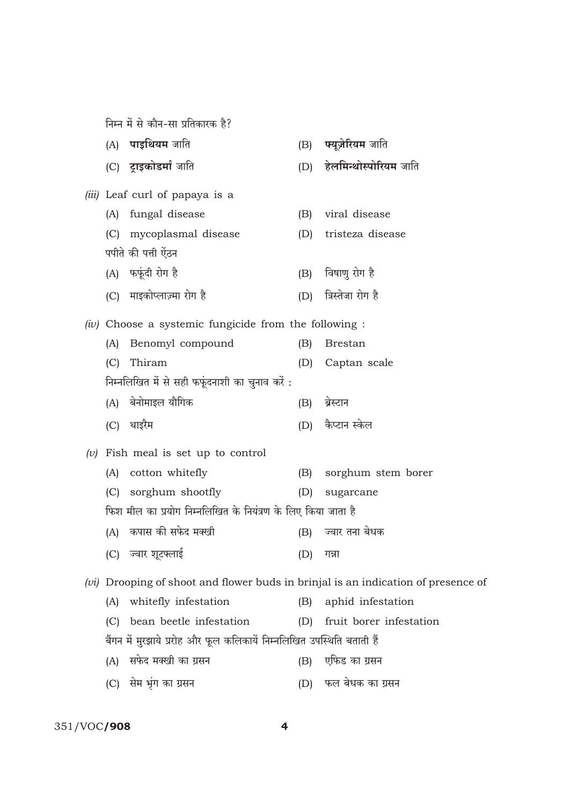निम्न में से कौन-सा प्रतिकारक है?

|  | (A)                                                     | पाइथियम जाति                                                                        | (B) | फ्यूज़ेरियम जाति        |  |  |  |
|--|---------------------------------------------------------|-------------------------------------------------------------------------------------|-----|-------------------------|--|--|--|
|  |                                                         | (C) ट्राइकोडर्मा जाति                                                               | (D) | हेलमिन्थोस्पोरियम जाति  |  |  |  |
|  |                                                         | <i>(iii)</i> Leaf curl of papaya is a                                               |     |                         |  |  |  |
|  | (A)                                                     | fungal disease                                                                      | (B) | viral disease           |  |  |  |
|  | (C)                                                     | mycoplasmal disease                                                                 | (D) | tristeza disease        |  |  |  |
|  |                                                         | पपीते की पत्ती ऐंठन                                                                 |     |                         |  |  |  |
|  |                                                         | (A) फफूंदी रोग है                                                                   | (B) | विषाणु रोग है           |  |  |  |
|  | (C)                                                     | माइकोप्लाज़्मा रोग है                                                               | (D) | त्रिस्तेजा रोग है       |  |  |  |
|  | $(iv)$ Choose a systemic fungicide from the following : |                                                                                     |     |                         |  |  |  |
|  | (A)                                                     | Benomyl compound                                                                    | (B) | <b>Brestan</b>          |  |  |  |
|  | (C)                                                     | Thiram                                                                              | (D) | Captan scale            |  |  |  |
|  |                                                         | निम्नलिखित में से सही फफूंदनाशी का चुनाव करें:                                      |     |                         |  |  |  |
|  | (A)                                                     | बेनोमाइल यौगिक                                                                      | (B) | ब्रेस्टान               |  |  |  |
|  | (C)                                                     | थाइरैम                                                                              | (D) | कैप्टान स्केल           |  |  |  |
|  |                                                         | (v) Fish meal is set up to control                                                  |     |                         |  |  |  |
|  | (A)                                                     | cotton whitefly                                                                     | (B) | sorghum stem borer      |  |  |  |
|  | (C)                                                     | sorghum shootfly                                                                    | (D) | sugarcane               |  |  |  |
|  |                                                         | फिश मील का प्रयोग निम्नलिखित के नियंत्रण के लिए किया जाता है                        |     |                         |  |  |  |
|  | (A)                                                     | कपास की सफेद मक्खी                                                                  | (B) | ज्वार तना बेधक          |  |  |  |
|  | (C)                                                     | ज्वार शूटफ्लाई                                                                      | (D) | गन्ना                   |  |  |  |
|  |                                                         | $(vi)$ Drooping of shoot and flower buds in brinjal is an indication of presence of |     |                         |  |  |  |
|  | (A)                                                     | whitefly infestation                                                                | (B) | aphid infestation       |  |  |  |
|  | (C)                                                     | bean beetle infestation                                                             | (D) | fruit borer infestation |  |  |  |
|  |                                                         | बैंगन में मुरझाये प्ररोह और फूल कलिकायें निम्नलिखित उपस्थिति बताती हैं              |     |                         |  |  |  |
|  | (A)                                                     | सफेद मक्खी का ग्रसन                                                                 | (B) | एफिड का ग्रसन           |  |  |  |
|  | (C)                                                     | सेम भूंग का ग्रसन                                                                   | (D) | फल बेधक का ग्रसन        |  |  |  |

351/VOC**/908**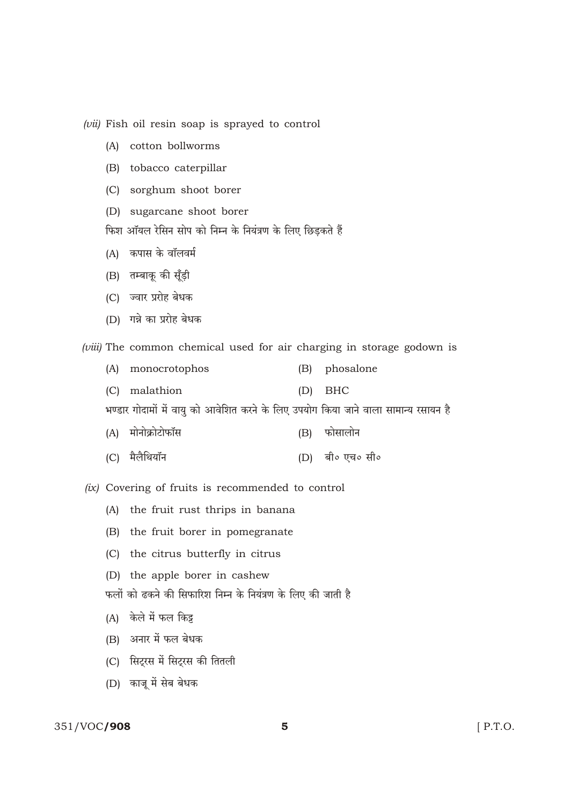$(vii)$  Fish oil resin soap is sprayed to control

- (A) cotton bollworms
- (B) tobacco caterpillar
- (C) sorghum shoot borer
- (D) sugarcane shoot borer

फिश ऑयल रेसिन सोप को निम्न के नियंत्रण के लिए छिडकते हैं

- (A) कपास के वॉलवर्म
- (B) तम्बाकू की सूँड़ी
- (C) ज्वार प्ररोह बेधक
- (D) गन्ने का प्ररोह बेधक

(viii) The common chemical used for air charging in storage godown is

- (A) monocrotophos phosalone  $(B)$
- (C) malathion  $(D)$ **BHC**

भण्डार गोदामों में वायु को आवेशित करने के लिए उपयोग किया जाने वाला सामान्य रसायन है

- (A) मोनोक्रोटोफॉस फोसालोन  $(B)$
- (C) मैलैथियॉन (D) बी० एच० सी०

(ix) Covering of fruits is recommended to control

- (A) the fruit rust thrips in banana
- (B) the fruit borer in pomegranate
- (C) the citrus butterfly in citrus
- (D) the apple borer in cashew
- फलों को ढकने की सिफारिश निम्न के नियंत्रण के लिए की जाती है
- (A) केले में फल किट्ट
- (B) अनार में फल बेधक
- (C) सिट्रस में सिट्रस की तितली
- (D) काजू में सेब बेधक

#### 351/VOC/908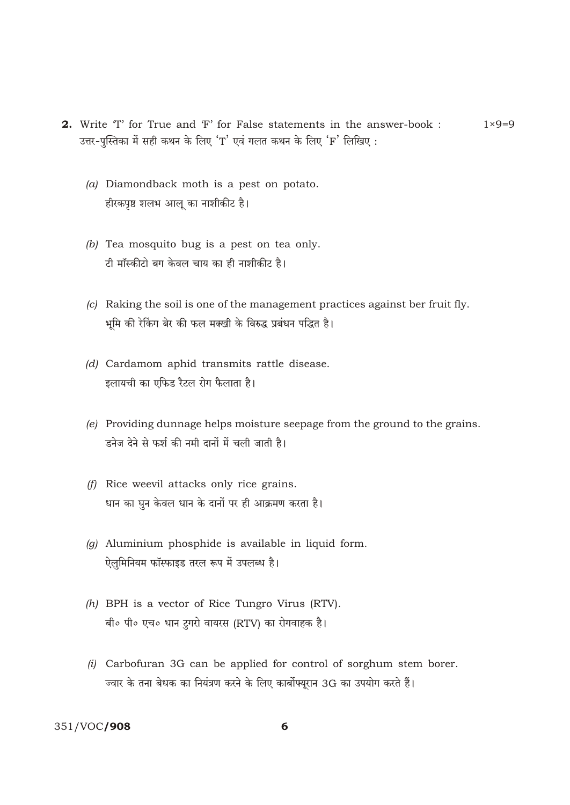- 2. Write 'T' for True and 'F' for False statements in the answer-book :  $1 \times 9 = 9$ उत्तर-पुस्तिका में सही कथन के लिए 'T' एवं गलत कथन के लिए 'F' लिखिए:
	- $(a)$  Diamondback moth is a pest on potato. हीरकपृष्ठ शलभ आलू का नाशीकीट है।
	- (b) Tea mosquito bug is a pest on tea only. टी मॉस्कीटो बग केवल चाय का ही नाशीकीट है।
	- (c) Raking the soil is one of the management practices against ber fruit fly. भूमि की रेकिंग बेर की फल मक्खी के विरुद्ध प्रबंधन पद्धित है।
	- (d) Cardamom aphid transmits rattle disease. इलायची का एफिड रैटल रोग फैलाता है।
	- (e) Providing dunnage helps moisture seepage from the ground to the grains. ड़नेज देने से फर्श की नमी दानों में चली जाती है।
	- (f) Rice weevil attacks only rice grains. धान का घुन केवल धान के दानों पर ही आक्रमण करता है।
	- $(q)$  Aluminium phosphide is available in liquid form. ऐलमिनियम फॉस्फाइड तरल रूप में उपलब्ध है।
	- $(h)$  BPH is a vector of Rice Tungro Virus (RTV). बी॰ पी॰ एच॰ धान ट्रगरो वायरस (RTV) का रोगवाहक है।
	- $(i)$  Carbofuran 3G can be applied for control of sorghum stem borer. ज्वार के तना बेधक का नियंत्रण करने के लिए कार्बोफ्यूरान 3G का उपयोग करते हैं।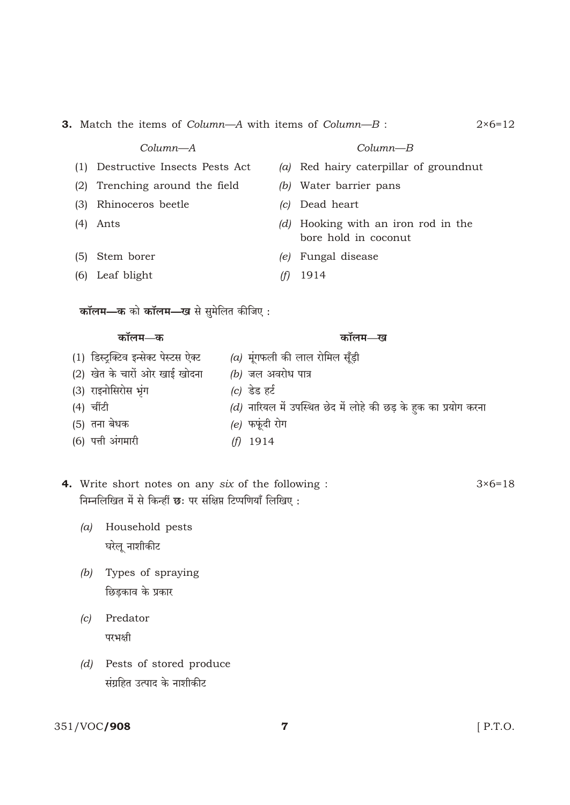| Column—A                              |                           |     | $Column-B$                                                       |  |  |  |  |
|---------------------------------------|---------------------------|-----|------------------------------------------------------------------|--|--|--|--|
| Destructive Insects Pests Act<br>(1)  |                           | (a) | Red hairy caterpillar of groundnut                               |  |  |  |  |
|                                       |                           |     |                                                                  |  |  |  |  |
| (2)<br>Trenching around the field     |                           | (b) | Water barrier pans                                               |  |  |  |  |
| Rhinoceros beetle<br>(3)              |                           | c   | Dead heart                                                       |  |  |  |  |
| (4)<br>Ants                           |                           | (d) | Hooking with an iron rod in the<br>bore hold in coconut          |  |  |  |  |
| Stem borer<br>(5)                     |                           | (e) | Fungal disease                                                   |  |  |  |  |
| (6) Leaf blight                       |                           | (f) | 1914                                                             |  |  |  |  |
| कॉलम—क को कॉलम—ख से सुमेलित कीजिए:    |                           |     |                                                                  |  |  |  |  |
|                                       |                           |     |                                                                  |  |  |  |  |
| कॉलम—क                                |                           |     | कॉलम—ख                                                           |  |  |  |  |
| (1) डिस्ट्रक्टिव इन्सेक्ट पेस्टस ऐक्ट |                           |     | (a) मूंगफली की लाल रोमिल सूँड़ी                                  |  |  |  |  |
| (2) खेत के चारों ओर खाई खोदना         | <i>(b)</i> जल अवरोध पात्र |     |                                                                  |  |  |  |  |
| (3) राइनोसिरोस भूंग                   | (c) डेड हर्ट              |     |                                                                  |  |  |  |  |
| (4) चींटी                             |                           |     | (d) नारियल में उपस्थित छेद में लोहे की छड़ के हुक का प्रयोग करना |  |  |  |  |
| (5) तना बेधक                          | <i>(e)</i> फफूंदी रोग     |     |                                                                  |  |  |  |  |
| (6) पत्ती अंगमारी                     | 1914<br>(† )              |     |                                                                  |  |  |  |  |

**3.** Match the items of *Column* $-A$  with items of *Column* $-B$ :

- 4. Write short notes on any six of the following :  $3 \times 6 = 18$ निम्नलिखित में से किन्हीं छः पर संक्षिप्त टिप्पणियाँ लिखिए:
	- (a) Household pests घरेलू नाशीकीट
	- (b) Types of spraying छिडकाव के प्रकार
	- $(c)$  Predator परभक्षी
	- (d) Pests of stored produce संग्रहित उत्पाद के नाशीकीट

## 351/VOC/908

[ P.T.O.

 $2 \times 6 = 12$ 

 $\overline{7}$